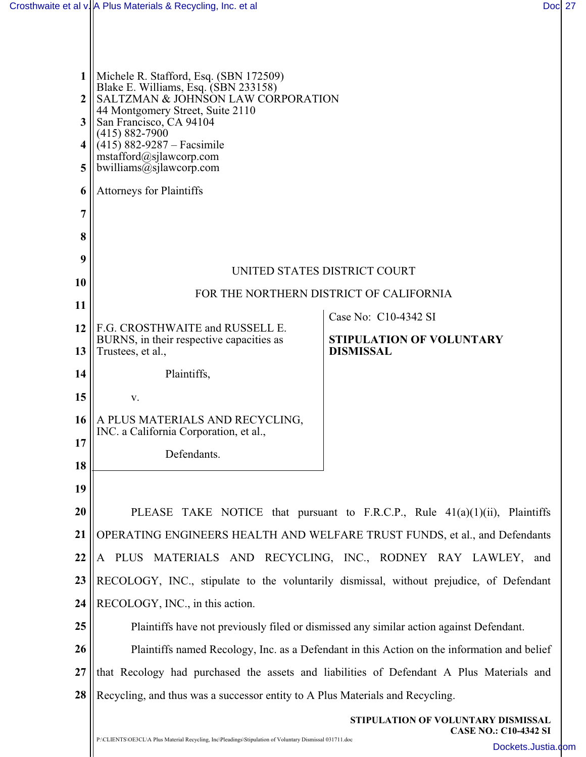| 1         | Michele R. Stafford, Esq. (SBN 172509)<br>Blake E. Williams, Esq. (SBN 233158)<br>SALTZMAN & JOHNSON LAW CORPORATION<br>44 Montgomery Street, Suite 2110 |                                    |  |
|-----------|----------------------------------------------------------------------------------------------------------------------------------------------------------|------------------------------------|--|
| 2         |                                                                                                                                                          |                                    |  |
| 3         | San Francisco, CA 94104<br>$(415) 882 - 7900$                                                                                                            |                                    |  |
| 4         | $(415) 882 - 9287 - Facsimile$<br>mstafford@sjlawcorp.com                                                                                                |                                    |  |
| 5         | bwilliams@sjlawcorp.com                                                                                                                                  |                                    |  |
| 6         | <b>Attorneys for Plaintiffs</b>                                                                                                                          |                                    |  |
| 7         |                                                                                                                                                          |                                    |  |
| 8         |                                                                                                                                                          |                                    |  |
| 9         | UNITED STATES DISTRICT COURT                                                                                                                             |                                    |  |
| <b>10</b> | FOR THE NORTHERN DISTRICT OF CALIFORNIA                                                                                                                  |                                    |  |
| 11        |                                                                                                                                                          | Case No: C10-4342 SI               |  |
| 12        | F.G. CROSTHWAITE and RUSSELL E.<br>BURNS, in their respective capacities as                                                                              | <b>STIPULATION OF VOLUNTARY</b>    |  |
| 13        | Trustees, et al.,                                                                                                                                        | <b>DISMISSAL</b>                   |  |
| 14        | Plaintiffs,                                                                                                                                              |                                    |  |
| 15        | V.                                                                                                                                                       |                                    |  |
| <b>16</b> | A PLUS MATERIALS AND RECYCLING,<br>INC. a California Corporation, et al.,                                                                                |                                    |  |
| 17        | Defendants.                                                                                                                                              |                                    |  |
| 18        |                                                                                                                                                          |                                    |  |
| 19        |                                                                                                                                                          |                                    |  |
| 20        | PLEASE TAKE NOTICE that pursuant to F.R.C.P., Rule 41(a)(1)(ii), Plaintiffs                                                                              |                                    |  |
| 21        | OPERATING ENGINEERS HEALTH AND WELFARE TRUST FUNDS, et al., and Defendants                                                                               |                                    |  |
| 22        | PLUS MATERIALS AND RECYCLING, INC., RODNEY RAY LAWLEY, and<br>A                                                                                          |                                    |  |
| 23        | RECOLOGY, INC., stipulate to the voluntarily dismissal, without prejudice, of Defendant                                                                  |                                    |  |
| 24        | RECOLOGY, INC., in this action.                                                                                                                          |                                    |  |
| 25        | Plaintiffs have not previously filed or dismissed any similar action against Defendant.                                                                  |                                    |  |
| 26        | Plaintiffs named Recology, Inc. as a Defendant in this Action on the information and belief                                                              |                                    |  |
| 27        | that Recology had purchased the assets and liabilities of Defendant A Plus Materials and                                                                 |                                    |  |
| 28        | Recycling, and thus was a successor entity to A Plus Materials and Recycling.                                                                            |                                    |  |
|           |                                                                                                                                                          | STIPULATION OF VOLUNTARY DISMISSAL |  |
|           |                                                                                                                                                          | <b>CASE NO.: C10-4342 SI</b>       |  |